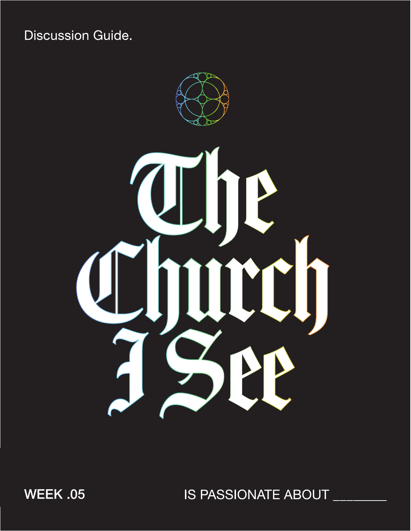**Discussion Guide.** 



WEEK .05

IS PASSIONATE ABOUT \_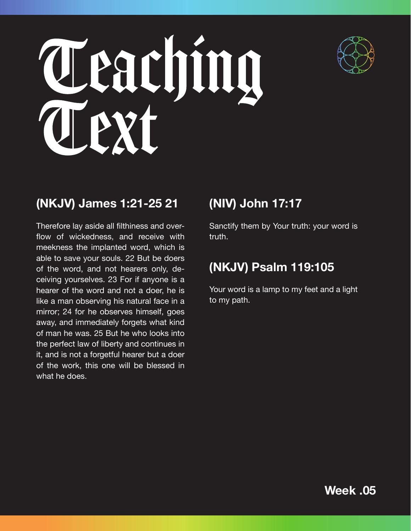



# **(NKJV) James 1:21-25 21**

Therefore lay aside all filthiness and overflow of wickedness, and receive with meekness the implanted word, which is able to save your souls. 22 But be doers of the word, and not hearers only, deceiving yourselves. 23 For if anyone is a hearer of the word and not a doer, he is like a man observing his natural face in a mirror; 24 for he observes himself, goes away, and immediately forgets what kind of man he was. 25 But he who looks into the perfect law of liberty and continues in it, and is not a forgetful hearer but a doer of the work, this one will be blessed in what he does.

# **(NIV) John 17:17**

Sanctify them by Your truth: your word is truth.

# **(NKJV) Psalm 119:105**

Your word is a lamp to my feet and a light to my path.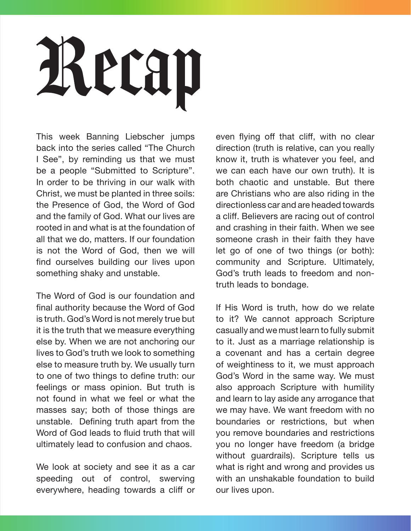# Recap

This week Banning Liebscher jumps back into the series called "The Church I See", by reminding us that we must be a people "Submitted to Scripture". In order to be thriving in our walk with Christ, we must be planted in three soils: the Presence of God, the Word of God and the family of God. What our lives are rooted in and what is at the foundation of all that we do, matters. If our foundation is not the Word of God, then we will find ourselves building our lives upon something shaky and unstable.

The Word of God is our foundation and final authority because the Word of God is truth. God's Word is not merely true but it is the truth that we measure everything else by. When we are not anchoring our lives to God's truth we look to something else to measure truth by. We usually turn to one of two things to define truth: our feelings or mass opinion. But truth is not found in what we feel or what the masses say; both of those things are unstable. Defining truth apart from the Word of God leads to fluid truth that will ultimately lead to confusion and chaos.

We look at society and see it as a car speeding out of control, swerving everywhere, heading towards a cliff or our lives upon.

even flying off that cliff, with no clear direction (truth is relative, can you really know it, truth is whatever you feel, and we can each have our own truth). It is both chaotic and unstable. But there are Christians who are also riding in the directionless car and are headed towards a cliff. Believers are racing out of control and crashing in their faith. When we see someone crash in their faith they have let go of one of two things (or both): community and Scripture. Ultimately, God's truth leads to freedom and nontruth leads to bondage.

If His Word is truth, how do we relate to it? We cannot approach Scripture casually and we must learn to fully submit to it. Just as a marriage relationship is a covenant and has a certain degree of weightiness to it, we must approach God's Word in the same way. We must also approach Scripture with humility and learn to lay aside any arrogance that we may have. We want freedom with no boundaries or restrictions, but when you remove boundaries and restrictions you no longer have freedom (a bridge without guardrails). Scripture tells us what is right and wrong and provides us with an unshakable foundation to build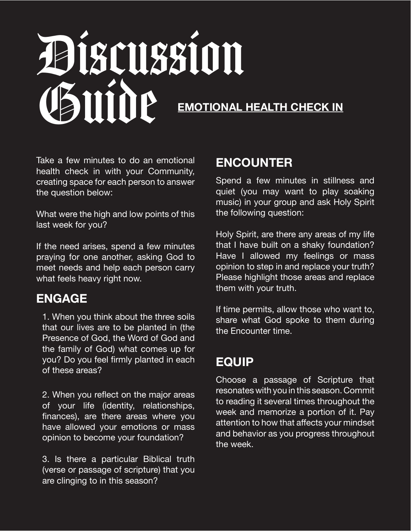# Discussion Guide **EMOTIONAL HEALTH CHECK IN**

Take a few minutes to do an emotional health check in with your Community, creating space for each person to answer the question below:

What were the high and low points of this last week for you?

If the need arises, spend a few minutes praying for one another, asking God to meet needs and help each person carry what feels heavy right now.

### **ENGAGE**

1. When you think about the three soils that our lives are to be planted in (the Presence of God, the Word of God and the family of God) what comes up for you? Do you feel firmly planted in each of these areas?

2. When you reflect on the major areas of your life (identity, relationships, finances), are there areas where you have allowed your emotions or mass opinion to become your foundation?

3. Is there a particular Biblical truth (verse or passage of scripture) that you are clinging to in this season?

### **ENCOUNTER**

Spend a few minutes in stillness and quiet (you may want to play soaking music) in your group and ask Holy Spirit the following question:

Holy Spirit, are there any areas of my life that I have built on a shaky foundation? Have I allowed my feelings or mass opinion to step in and replace your truth? Please highlight those areas and replace them with your truth.

If time permits, allow those who want to, share what God spoke to them during the Encounter time.

#### **EQUIP**

Choose a passage of Scripture that resonates with you in this season. Commit to reading it several times throughout the week and memorize a portion of it. Pay attention to how that affects your mindset and behavior as you progress throughout the week.